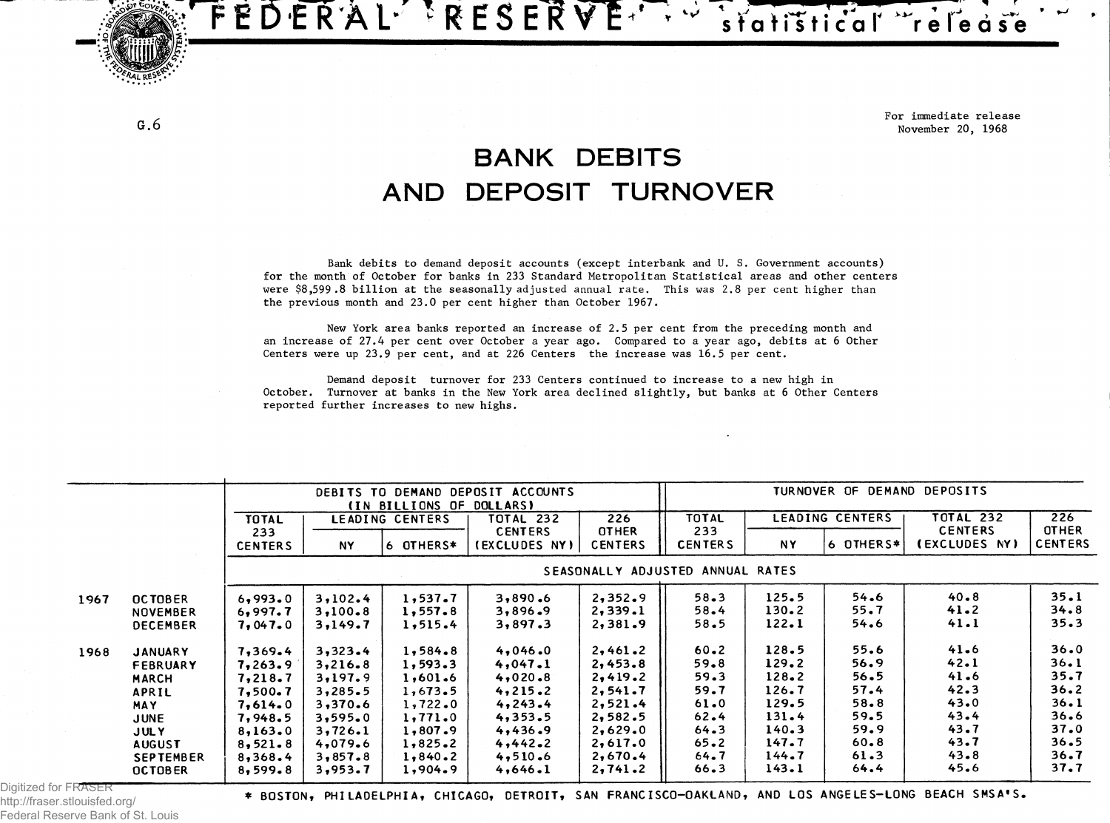**F E D ER AL- 'RESERVE' ' -rir.dr .**

**f** 

**, For immediate release G . 6 November 20, 1968**

## **BANK DEBITS AND DEPOSIT TURNOVER**

**Bank debits to demand deposit accounts (except interbank and U. S. Government accounts) for the month of October for banks in 233 Standard Metropolitan Statistical areas and other centers were \$8,599 .8 billion at the seasonally adjusted annual rate. This was 2.8 per cent higher than the previous month and 23.0 per cent higher than October 1967.**

**New York area banks reported an increase of 2.5 per cent from the preceding month and** an increase of 27.4 per cent over October a year ago. Compared to a year ago, debits at 6 Other **Centers were up 23.9 per cent, and at 226 Centers the increase was 16.5 per cent.**

**Demand deposit turnover for 233 Centers continued to increase to a new high in October. Turnover at banks in the New York area declined slightly, but banks at 6 Other Centers reported further increases to new highs.**

|      |                  | DEBITS TO DEMAND DEPOSIT ACCOUNTS<br>(IN BILLIONS OF DOLLARS) |                 |           | DEMAND DEPOSITS<br>TURNOVER OF                     |                     |                 |           |                  |                     |                |
|------|------------------|---------------------------------------------------------------|-----------------|-----------|----------------------------------------------------|---------------------|-----------------|-----------|------------------|---------------------|----------------|
|      |                  | <b>TOTAL</b>                                                  | LEADING CENTERS |           | 226<br>TOTAL 232<br><b>CENTERS</b><br><b>OTHER</b> | <b>TOTAL</b><br>233 | LEADING CENTERS |           | <b>TOTAL 232</b> | 226<br><b>OTHER</b> |                |
|      |                  | 233                                                           |                 |           |                                                    |                     |                 |           | <b>CENTERS</b>   |                     |                |
|      |                  | <b>CENTERS</b>                                                | <b>NY</b>       | 6 OTHERS* | <b>(EXCLUDES NY)</b>                               | <b>CENTERS</b>      | <b>CENTERS</b>  | NY.       | 6 OTHERS*        | (EXCLUDES NY)       | <b>CENTERS</b> |
|      |                  | ADJUSTED ANNUAL RATES<br><b>SEASONALLY</b>                    |                 |           |                                                    |                     |                 |           |                  |                     |                |
| 1967 | <b>OCTOBER</b>   | 6,993.0                                                       | 3,102.4         | 1,537.7   | 3,890.6                                            | 2,352.9             | $58 - 3$        | 125.5     | 54.6             | $40 - 8$            | 35.1           |
|      | <b>NOVEMBER</b>  | 6,997.7                                                       | 3,100.8         | 1,557.8   | 3,896.9                                            | 2,339.1             | 58.4            | $130 - 2$ | 55.7             | 41.2                | 34.8           |
|      | <b>DECEMBER</b>  | 7,047.0                                                       | 3,149.7         | 1, 515.4  | 3,897.3                                            | 2,381.9             | 58.5            | 122.1     | 54.6             | 41.1                | 35.3           |
| 1968 | <b>JANUARY</b>   | 7,369.4                                                       | 3,323.4         | 1,584.8   | 4,046.0                                            | 2,461.2             | $60 - 2$        | 128.5     | 55.6             | 41.6                | 36.0           |
|      | FEBRUARY         | 7,263.9                                                       | 3,216.8         | 1,593.3   | 4,047.1                                            | 2,453.8             | 59.8            | 129.2     | 56.9             | 42.1                | 36.1           |
|      | <b>MARCH</b>     | 7,218.7                                                       | 3,197.9         | 1,601.6   | 4,020.8                                            | 2,419.2             | 59.3            | $128 - 2$ | 56.5             | 41.6                | 35.7           |
|      | APRIL            | 7,500.7                                                       | 3,285.5         | 1,673.5   | 4,215.2                                            | 2,541.7             | 59.7            | 126.7     | 57.4             | 42.3                | 36.2           |
|      | <b>MAY</b>       | 7,614.0                                                       | 3,370.6         | 1,722.0   | 4, 243.4                                           | 2,521.4             | 61.0            | 129.5     | $58 - 8$         | 43.0                | 36.1           |
|      | <b>JUNE</b>      | 7,948.5                                                       | 3,595.0         | 1,771.0   | 4,353.5                                            | 2,582.5             | 62.4            | 131.4     | 59.5             | 43.4                | 36.6           |
|      | <b>JULY</b>      | 8,163.0                                                       | 3,726.1         | 1,807.9   | 4,436.9                                            | 2,629.0             | 64.3            | 140.3     | 59.9             | 43.7                | 37.0           |
|      | <b>AUGUST</b>    | 8,521.8                                                       | 4,079.6         | 1,825.2   | 4,442.2                                            | 2,617.0             | $65 - 2$        | 147.7     | $60 - 8$         | 43.7                | 36.5           |
|      | <b>SEPTEMBER</b> | 8,368.4                                                       | 3,857.8         | 1,840.2   | 4,510.6                                            | 2,670.4             | 64.7            | 144.7     | 61.3             | 43.8                | 36.7           |
|      | <b>OCTOBER</b>   | 8,599.8                                                       | 3,953.7         | 1,904.9   | 4,646.1                                            | 2,741.2             | 66.3            | 143.1     | 64.4             | 45.6                | 37.7           |

Digitized http://fraser.stlouisfed.org/ Federal Reserve Bank of St. Louis

\* BOSTON, PHILADELPHIA, CHICAGO, DETROIT, SAN FRANCISCO-OAKLAND, AND LOS ANGELES-LONG BEACH SMSA'S.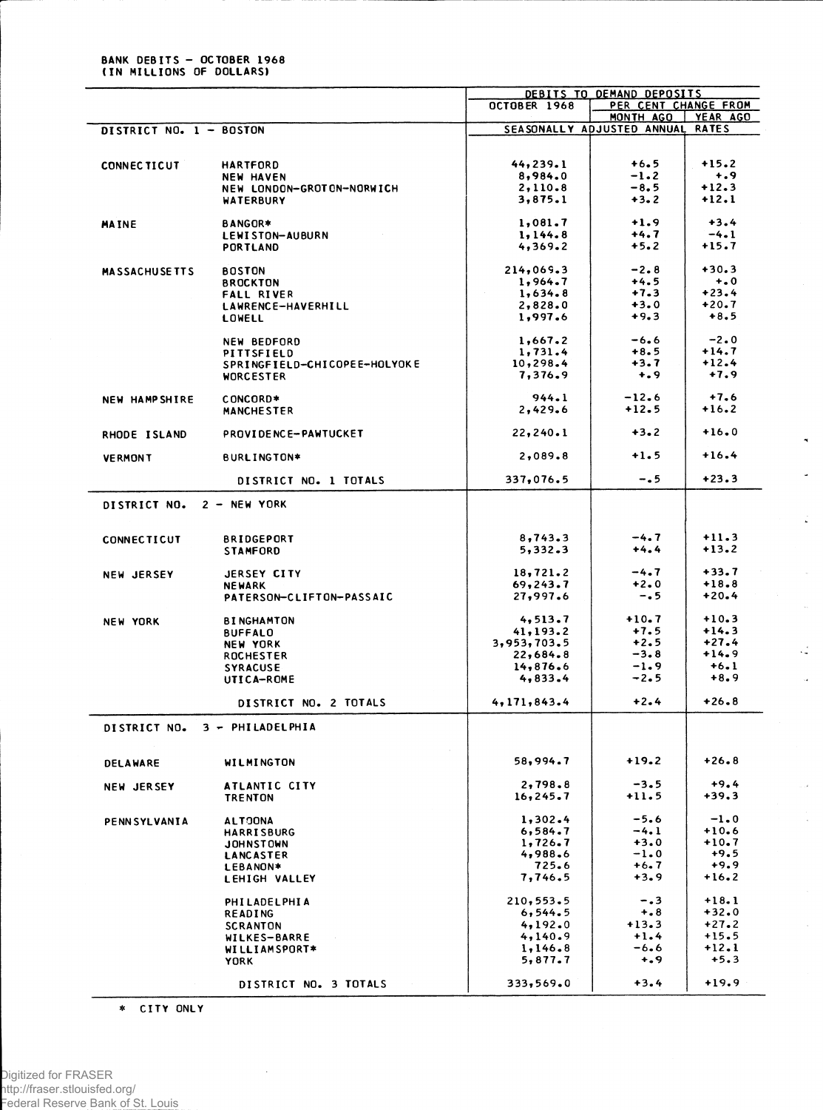**BANK DEBITS - OCTOBER 1968**<br>(IN MILLIONS OF DOLLARS)

| PER CENT CHANGE FROM<br><b>OCTOBER 1968</b><br>MONTH AGO<br>YEAR AGO<br>SEASONALLY ADJUSTED ANNUAL<br><b>RATES</b><br>DISTRICT NO. 1 - BOSTON<br>44, 239.1<br>$+6.5$<br>$+15.2$<br><b>HARTFORD</b><br><b>CONNECTICUT</b><br>$+ .9$<br>8,984.0<br>$-1.2$<br><b>NEW HAVEN</b><br>$-8,5$<br>$+12.3$<br>2,110.8<br>NEW LONDON-GROTON-NORWICH<br>$+12.1$<br>3,875.1<br>$+3.2$<br><b>WATERBURY</b><br>$+3.4$<br>$+1.9$<br>1,081.7<br>BANGOR*<br><b>MAINE</b><br>$+4.7$<br>$-4.1$<br>1, 144.8<br>LEWISTON-AUBURN<br>$+5.2$<br>$+15.7$<br>4,369.2<br><b>PORTLAND</b><br>$-2.8$<br>$+30.3$<br>214,069.3<br><b>BOSTON</b><br><b>MASSACHUSETTS</b><br>$+ 0.0$<br>1,964.7<br>+4.5<br><b>BROCKTON</b><br>$+23.4$<br>$+7.3$<br>1,634.8<br><b>FALL RIVER</b><br>$+3.0$<br>$+20.7$<br>2,828.0<br>LAWRENCE-HAVERHILL<br>$+8.5$<br>$+9.3$<br>1,997.6<br>LOWELL<br>$-2.0$<br>1,667.2<br>-6.6<br><b>NEW BEDFORD</b><br>$+14.7$<br>1,731.4<br>$+8.5$<br>PITTSFIELD<br>$+12.4$<br>10,298.4<br>$+3.7$<br>SPRINGFIELD-CHICOPEE-HOLYOKE<br>$+7.9$<br>7,376.9<br>$+$ .9<br><b>WORCESTER</b><br>$-12.6$<br>$+7.6$<br>944.1<br>CONCORD*<br><b>NEW HAMPSHIRE</b><br>$+12.5$<br>$+16.2$<br>2,429.6<br><b>MANCHESTER</b><br>$+16.0$<br>$+3.2$<br>22, 240.1<br>PROVIDENCE-PAWTUCKET<br>RHODE ISLAND<br>$+1.5$<br>$+16.4$<br>2,089.8<br>BURLINGTON*<br><b>VERMONT</b><br>$+23.3$<br>$-0.5$<br>337,076.5<br>DISTRICT NO. 1 TOTALS<br>$2 - NEW YORK$<br><b>DISTRICT NO.</b><br>$-4.7$<br>$+11.3$<br>8,743.3<br><b>BRIDGEPORT</b><br><b>CONNECTICUT</b><br>$+13.2$<br>5,332.3<br>$+4.4$<br><b>STAMFORD</b><br>$+33.7$<br>$-4.7$<br>18,721.2<br>JERSEY CITY<br><b>NEW JERSEY</b><br>$+2.0$<br>$+18.8$<br>69,243.7<br><b>NEWARK</b><br>$+20.4$<br>27,997.6<br>$-0.5$<br>PATERSON-CLIFTON-PASSAIC<br>$+10.3$<br>$+10.7$<br>4,513.7<br><b>NEW YORK</b><br><b>BINGHAMTON</b><br>$+7.5$<br>$+14.3$<br>41, 193.2<br><b>BUFFALO</b><br>$+2.5$<br>$+27.4$<br>3,953,703.5<br><b>NEW YORK</b><br>$-3.8$<br>$+14.9$<br>22,684.8<br><b>ROCHESTER</b><br>$-1.9$<br>$+6.1$<br>14,876.6<br><b>SYRACUSE</b><br>$+8.9$<br>4,833.4<br>$-2.5$<br>UTICA-ROME<br>$+26.8$<br>$+2.4$<br>4,171,843.4<br>DISTRICT NO. 2 TOTALS<br>3 - PHILADELPHIA<br><b>DISTRICT NO.</b><br>$+19.2$<br>$+26.8$<br>58,994.7<br>WILMINGTON<br>DELAWARE<br>$+9.4$<br>2,798.8<br>$-3.5$<br>ATLANTIC CITY<br><b>NEW JERSEY</b><br>$+39.3$<br>$+11.5$<br>16, 245.7<br><b>TRENTON</b><br>$-5.6$<br>$-1.0$<br>1,302.4<br><b>ALTOONA</b><br><b>PENNSYLVANIA</b><br>$+10.6$<br>$-4.1$<br>6,584.7<br><b>HARRISBURG</b><br>$+3.0$<br>$+10.7$<br>1,726.7<br><b>JOHNSTOWN</b><br>$+9.5$<br>4,988.6<br>$-1.0$<br>LANCASTER<br>$+9.9$<br>725.6<br>+6.7<br>LEBANON*<br>$+3.9$<br>$+16.2$<br>7,746.5<br>LEHIGH VALLEY<br>$-0.3$<br>$+18.1$<br>210,553.5<br>PHILADELPHIA<br>$+32.0$<br>$+ 8$<br>6,544.5<br>READING<br>4,192.0<br>$+13.3$<br>$+27.2$<br><b>SCRANTON</b><br>$+15.5$<br>$+1.4$<br>4,140.9<br>WILKES-BARRE<br>$+12.1$<br>1,146.8<br>-6.6<br><b>WILLIAMSPORT*</b><br>$+0.9$<br>$+5.3$<br>5,877.7<br><b>YORK</b><br>$+19.9$<br>333,569.0<br>$+3.4$<br>DISTRICT NO. 3 TOTALS |  |  | DEBITS TO DEMAND DEPOSITS |  |  |  |
|---------------------------------------------------------------------------------------------------------------------------------------------------------------------------------------------------------------------------------------------------------------------------------------------------------------------------------------------------------------------------------------------------------------------------------------------------------------------------------------------------------------------------------------------------------------------------------------------------------------------------------------------------------------------------------------------------------------------------------------------------------------------------------------------------------------------------------------------------------------------------------------------------------------------------------------------------------------------------------------------------------------------------------------------------------------------------------------------------------------------------------------------------------------------------------------------------------------------------------------------------------------------------------------------------------------------------------------------------------------------------------------------------------------------------------------------------------------------------------------------------------------------------------------------------------------------------------------------------------------------------------------------------------------------------------------------------------------------------------------------------------------------------------------------------------------------------------------------------------------------------------------------------------------------------------------------------------------------------------------------------------------------------------------------------------------------------------------------------------------------------------------------------------------------------------------------------------------------------------------------------------------------------------------------------------------------------------------------------------------------------------------------------------------------------------------------------------------------------------------------------------------------------------------------------------------------------------------------------------------------------------------------------------------------------------------------------------------------------------------------------------------------------------------------------------------------------------------------------------------------------------------------------------------------------------------------------------------------------------------------------------------------------------------------------------------------------------------|--|--|---------------------------|--|--|--|
|                                                                                                                                                                                                                                                                                                                                                                                                                                                                                                                                                                                                                                                                                                                                                                                                                                                                                                                                                                                                                                                                                                                                                                                                                                                                                                                                                                                                                                                                                                                                                                                                                                                                                                                                                                                                                                                                                                                                                                                                                                                                                                                                                                                                                                                                                                                                                                                                                                                                                                                                                                                                                                                                                                                                                                                                                                                                                                                                                                                                                                                                                       |  |  |                           |  |  |  |
|                                                                                                                                                                                                                                                                                                                                                                                                                                                                                                                                                                                                                                                                                                                                                                                                                                                                                                                                                                                                                                                                                                                                                                                                                                                                                                                                                                                                                                                                                                                                                                                                                                                                                                                                                                                                                                                                                                                                                                                                                                                                                                                                                                                                                                                                                                                                                                                                                                                                                                                                                                                                                                                                                                                                                                                                                                                                                                                                                                                                                                                                                       |  |  |                           |  |  |  |
|                                                                                                                                                                                                                                                                                                                                                                                                                                                                                                                                                                                                                                                                                                                                                                                                                                                                                                                                                                                                                                                                                                                                                                                                                                                                                                                                                                                                                                                                                                                                                                                                                                                                                                                                                                                                                                                                                                                                                                                                                                                                                                                                                                                                                                                                                                                                                                                                                                                                                                                                                                                                                                                                                                                                                                                                                                                                                                                                                                                                                                                                                       |  |  |                           |  |  |  |
|                                                                                                                                                                                                                                                                                                                                                                                                                                                                                                                                                                                                                                                                                                                                                                                                                                                                                                                                                                                                                                                                                                                                                                                                                                                                                                                                                                                                                                                                                                                                                                                                                                                                                                                                                                                                                                                                                                                                                                                                                                                                                                                                                                                                                                                                                                                                                                                                                                                                                                                                                                                                                                                                                                                                                                                                                                                                                                                                                                                                                                                                                       |  |  |                           |  |  |  |
|                                                                                                                                                                                                                                                                                                                                                                                                                                                                                                                                                                                                                                                                                                                                                                                                                                                                                                                                                                                                                                                                                                                                                                                                                                                                                                                                                                                                                                                                                                                                                                                                                                                                                                                                                                                                                                                                                                                                                                                                                                                                                                                                                                                                                                                                                                                                                                                                                                                                                                                                                                                                                                                                                                                                                                                                                                                                                                                                                                                                                                                                                       |  |  |                           |  |  |  |
|                                                                                                                                                                                                                                                                                                                                                                                                                                                                                                                                                                                                                                                                                                                                                                                                                                                                                                                                                                                                                                                                                                                                                                                                                                                                                                                                                                                                                                                                                                                                                                                                                                                                                                                                                                                                                                                                                                                                                                                                                                                                                                                                                                                                                                                                                                                                                                                                                                                                                                                                                                                                                                                                                                                                                                                                                                                                                                                                                                                                                                                                                       |  |  |                           |  |  |  |
|                                                                                                                                                                                                                                                                                                                                                                                                                                                                                                                                                                                                                                                                                                                                                                                                                                                                                                                                                                                                                                                                                                                                                                                                                                                                                                                                                                                                                                                                                                                                                                                                                                                                                                                                                                                                                                                                                                                                                                                                                                                                                                                                                                                                                                                                                                                                                                                                                                                                                                                                                                                                                                                                                                                                                                                                                                                                                                                                                                                                                                                                                       |  |  |                           |  |  |  |
|                                                                                                                                                                                                                                                                                                                                                                                                                                                                                                                                                                                                                                                                                                                                                                                                                                                                                                                                                                                                                                                                                                                                                                                                                                                                                                                                                                                                                                                                                                                                                                                                                                                                                                                                                                                                                                                                                                                                                                                                                                                                                                                                                                                                                                                                                                                                                                                                                                                                                                                                                                                                                                                                                                                                                                                                                                                                                                                                                                                                                                                                                       |  |  |                           |  |  |  |
|                                                                                                                                                                                                                                                                                                                                                                                                                                                                                                                                                                                                                                                                                                                                                                                                                                                                                                                                                                                                                                                                                                                                                                                                                                                                                                                                                                                                                                                                                                                                                                                                                                                                                                                                                                                                                                                                                                                                                                                                                                                                                                                                                                                                                                                                                                                                                                                                                                                                                                                                                                                                                                                                                                                                                                                                                                                                                                                                                                                                                                                                                       |  |  |                           |  |  |  |
|                                                                                                                                                                                                                                                                                                                                                                                                                                                                                                                                                                                                                                                                                                                                                                                                                                                                                                                                                                                                                                                                                                                                                                                                                                                                                                                                                                                                                                                                                                                                                                                                                                                                                                                                                                                                                                                                                                                                                                                                                                                                                                                                                                                                                                                                                                                                                                                                                                                                                                                                                                                                                                                                                                                                                                                                                                                                                                                                                                                                                                                                                       |  |  |                           |  |  |  |
|                                                                                                                                                                                                                                                                                                                                                                                                                                                                                                                                                                                                                                                                                                                                                                                                                                                                                                                                                                                                                                                                                                                                                                                                                                                                                                                                                                                                                                                                                                                                                                                                                                                                                                                                                                                                                                                                                                                                                                                                                                                                                                                                                                                                                                                                                                                                                                                                                                                                                                                                                                                                                                                                                                                                                                                                                                                                                                                                                                                                                                                                                       |  |  |                           |  |  |  |
|                                                                                                                                                                                                                                                                                                                                                                                                                                                                                                                                                                                                                                                                                                                                                                                                                                                                                                                                                                                                                                                                                                                                                                                                                                                                                                                                                                                                                                                                                                                                                                                                                                                                                                                                                                                                                                                                                                                                                                                                                                                                                                                                                                                                                                                                                                                                                                                                                                                                                                                                                                                                                                                                                                                                                                                                                                                                                                                                                                                                                                                                                       |  |  |                           |  |  |  |
|                                                                                                                                                                                                                                                                                                                                                                                                                                                                                                                                                                                                                                                                                                                                                                                                                                                                                                                                                                                                                                                                                                                                                                                                                                                                                                                                                                                                                                                                                                                                                                                                                                                                                                                                                                                                                                                                                                                                                                                                                                                                                                                                                                                                                                                                                                                                                                                                                                                                                                                                                                                                                                                                                                                                                                                                                                                                                                                                                                                                                                                                                       |  |  |                           |  |  |  |
|                                                                                                                                                                                                                                                                                                                                                                                                                                                                                                                                                                                                                                                                                                                                                                                                                                                                                                                                                                                                                                                                                                                                                                                                                                                                                                                                                                                                                                                                                                                                                                                                                                                                                                                                                                                                                                                                                                                                                                                                                                                                                                                                                                                                                                                                                                                                                                                                                                                                                                                                                                                                                                                                                                                                                                                                                                                                                                                                                                                                                                                                                       |  |  |                           |  |  |  |
|                                                                                                                                                                                                                                                                                                                                                                                                                                                                                                                                                                                                                                                                                                                                                                                                                                                                                                                                                                                                                                                                                                                                                                                                                                                                                                                                                                                                                                                                                                                                                                                                                                                                                                                                                                                                                                                                                                                                                                                                                                                                                                                                                                                                                                                                                                                                                                                                                                                                                                                                                                                                                                                                                                                                                                                                                                                                                                                                                                                                                                                                                       |  |  |                           |  |  |  |
|                                                                                                                                                                                                                                                                                                                                                                                                                                                                                                                                                                                                                                                                                                                                                                                                                                                                                                                                                                                                                                                                                                                                                                                                                                                                                                                                                                                                                                                                                                                                                                                                                                                                                                                                                                                                                                                                                                                                                                                                                                                                                                                                                                                                                                                                                                                                                                                                                                                                                                                                                                                                                                                                                                                                                                                                                                                                                                                                                                                                                                                                                       |  |  |                           |  |  |  |
|                                                                                                                                                                                                                                                                                                                                                                                                                                                                                                                                                                                                                                                                                                                                                                                                                                                                                                                                                                                                                                                                                                                                                                                                                                                                                                                                                                                                                                                                                                                                                                                                                                                                                                                                                                                                                                                                                                                                                                                                                                                                                                                                                                                                                                                                                                                                                                                                                                                                                                                                                                                                                                                                                                                                                                                                                                                                                                                                                                                                                                                                                       |  |  |                           |  |  |  |
|                                                                                                                                                                                                                                                                                                                                                                                                                                                                                                                                                                                                                                                                                                                                                                                                                                                                                                                                                                                                                                                                                                                                                                                                                                                                                                                                                                                                                                                                                                                                                                                                                                                                                                                                                                                                                                                                                                                                                                                                                                                                                                                                                                                                                                                                                                                                                                                                                                                                                                                                                                                                                                                                                                                                                                                                                                                                                                                                                                                                                                                                                       |  |  |                           |  |  |  |
|                                                                                                                                                                                                                                                                                                                                                                                                                                                                                                                                                                                                                                                                                                                                                                                                                                                                                                                                                                                                                                                                                                                                                                                                                                                                                                                                                                                                                                                                                                                                                                                                                                                                                                                                                                                                                                                                                                                                                                                                                                                                                                                                                                                                                                                                                                                                                                                                                                                                                                                                                                                                                                                                                                                                                                                                                                                                                                                                                                                                                                                                                       |  |  |                           |  |  |  |
|                                                                                                                                                                                                                                                                                                                                                                                                                                                                                                                                                                                                                                                                                                                                                                                                                                                                                                                                                                                                                                                                                                                                                                                                                                                                                                                                                                                                                                                                                                                                                                                                                                                                                                                                                                                                                                                                                                                                                                                                                                                                                                                                                                                                                                                                                                                                                                                                                                                                                                                                                                                                                                                                                                                                                                                                                                                                                                                                                                                                                                                                                       |  |  |                           |  |  |  |
|                                                                                                                                                                                                                                                                                                                                                                                                                                                                                                                                                                                                                                                                                                                                                                                                                                                                                                                                                                                                                                                                                                                                                                                                                                                                                                                                                                                                                                                                                                                                                                                                                                                                                                                                                                                                                                                                                                                                                                                                                                                                                                                                                                                                                                                                                                                                                                                                                                                                                                                                                                                                                                                                                                                                                                                                                                                                                                                                                                                                                                                                                       |  |  |                           |  |  |  |
|                                                                                                                                                                                                                                                                                                                                                                                                                                                                                                                                                                                                                                                                                                                                                                                                                                                                                                                                                                                                                                                                                                                                                                                                                                                                                                                                                                                                                                                                                                                                                                                                                                                                                                                                                                                                                                                                                                                                                                                                                                                                                                                                                                                                                                                                                                                                                                                                                                                                                                                                                                                                                                                                                                                                                                                                                                                                                                                                                                                                                                                                                       |  |  |                           |  |  |  |
|                                                                                                                                                                                                                                                                                                                                                                                                                                                                                                                                                                                                                                                                                                                                                                                                                                                                                                                                                                                                                                                                                                                                                                                                                                                                                                                                                                                                                                                                                                                                                                                                                                                                                                                                                                                                                                                                                                                                                                                                                                                                                                                                                                                                                                                                                                                                                                                                                                                                                                                                                                                                                                                                                                                                                                                                                                                                                                                                                                                                                                                                                       |  |  |                           |  |  |  |
|                                                                                                                                                                                                                                                                                                                                                                                                                                                                                                                                                                                                                                                                                                                                                                                                                                                                                                                                                                                                                                                                                                                                                                                                                                                                                                                                                                                                                                                                                                                                                                                                                                                                                                                                                                                                                                                                                                                                                                                                                                                                                                                                                                                                                                                                                                                                                                                                                                                                                                                                                                                                                                                                                                                                                                                                                                                                                                                                                                                                                                                                                       |  |  |                           |  |  |  |
|                                                                                                                                                                                                                                                                                                                                                                                                                                                                                                                                                                                                                                                                                                                                                                                                                                                                                                                                                                                                                                                                                                                                                                                                                                                                                                                                                                                                                                                                                                                                                                                                                                                                                                                                                                                                                                                                                                                                                                                                                                                                                                                                                                                                                                                                                                                                                                                                                                                                                                                                                                                                                                                                                                                                                                                                                                                                                                                                                                                                                                                                                       |  |  |                           |  |  |  |
|                                                                                                                                                                                                                                                                                                                                                                                                                                                                                                                                                                                                                                                                                                                                                                                                                                                                                                                                                                                                                                                                                                                                                                                                                                                                                                                                                                                                                                                                                                                                                                                                                                                                                                                                                                                                                                                                                                                                                                                                                                                                                                                                                                                                                                                                                                                                                                                                                                                                                                                                                                                                                                                                                                                                                                                                                                                                                                                                                                                                                                                                                       |  |  |                           |  |  |  |
|                                                                                                                                                                                                                                                                                                                                                                                                                                                                                                                                                                                                                                                                                                                                                                                                                                                                                                                                                                                                                                                                                                                                                                                                                                                                                                                                                                                                                                                                                                                                                                                                                                                                                                                                                                                                                                                                                                                                                                                                                                                                                                                                                                                                                                                                                                                                                                                                                                                                                                                                                                                                                                                                                                                                                                                                                                                                                                                                                                                                                                                                                       |  |  |                           |  |  |  |
|                                                                                                                                                                                                                                                                                                                                                                                                                                                                                                                                                                                                                                                                                                                                                                                                                                                                                                                                                                                                                                                                                                                                                                                                                                                                                                                                                                                                                                                                                                                                                                                                                                                                                                                                                                                                                                                                                                                                                                                                                                                                                                                                                                                                                                                                                                                                                                                                                                                                                                                                                                                                                                                                                                                                                                                                                                                                                                                                                                                                                                                                                       |  |  |                           |  |  |  |
|                                                                                                                                                                                                                                                                                                                                                                                                                                                                                                                                                                                                                                                                                                                                                                                                                                                                                                                                                                                                                                                                                                                                                                                                                                                                                                                                                                                                                                                                                                                                                                                                                                                                                                                                                                                                                                                                                                                                                                                                                                                                                                                                                                                                                                                                                                                                                                                                                                                                                                                                                                                                                                                                                                                                                                                                                                                                                                                                                                                                                                                                                       |  |  |                           |  |  |  |
|                                                                                                                                                                                                                                                                                                                                                                                                                                                                                                                                                                                                                                                                                                                                                                                                                                                                                                                                                                                                                                                                                                                                                                                                                                                                                                                                                                                                                                                                                                                                                                                                                                                                                                                                                                                                                                                                                                                                                                                                                                                                                                                                                                                                                                                                                                                                                                                                                                                                                                                                                                                                                                                                                                                                                                                                                                                                                                                                                                                                                                                                                       |  |  |                           |  |  |  |
|                                                                                                                                                                                                                                                                                                                                                                                                                                                                                                                                                                                                                                                                                                                                                                                                                                                                                                                                                                                                                                                                                                                                                                                                                                                                                                                                                                                                                                                                                                                                                                                                                                                                                                                                                                                                                                                                                                                                                                                                                                                                                                                                                                                                                                                                                                                                                                                                                                                                                                                                                                                                                                                                                                                                                                                                                                                                                                                                                                                                                                                                                       |  |  |                           |  |  |  |
|                                                                                                                                                                                                                                                                                                                                                                                                                                                                                                                                                                                                                                                                                                                                                                                                                                                                                                                                                                                                                                                                                                                                                                                                                                                                                                                                                                                                                                                                                                                                                                                                                                                                                                                                                                                                                                                                                                                                                                                                                                                                                                                                                                                                                                                                                                                                                                                                                                                                                                                                                                                                                                                                                                                                                                                                                                                                                                                                                                                                                                                                                       |  |  |                           |  |  |  |
|                                                                                                                                                                                                                                                                                                                                                                                                                                                                                                                                                                                                                                                                                                                                                                                                                                                                                                                                                                                                                                                                                                                                                                                                                                                                                                                                                                                                                                                                                                                                                                                                                                                                                                                                                                                                                                                                                                                                                                                                                                                                                                                                                                                                                                                                                                                                                                                                                                                                                                                                                                                                                                                                                                                                                                                                                                                                                                                                                                                                                                                                                       |  |  |                           |  |  |  |
|                                                                                                                                                                                                                                                                                                                                                                                                                                                                                                                                                                                                                                                                                                                                                                                                                                                                                                                                                                                                                                                                                                                                                                                                                                                                                                                                                                                                                                                                                                                                                                                                                                                                                                                                                                                                                                                                                                                                                                                                                                                                                                                                                                                                                                                                                                                                                                                                                                                                                                                                                                                                                                                                                                                                                                                                                                                                                                                                                                                                                                                                                       |  |  |                           |  |  |  |
|                                                                                                                                                                                                                                                                                                                                                                                                                                                                                                                                                                                                                                                                                                                                                                                                                                                                                                                                                                                                                                                                                                                                                                                                                                                                                                                                                                                                                                                                                                                                                                                                                                                                                                                                                                                                                                                                                                                                                                                                                                                                                                                                                                                                                                                                                                                                                                                                                                                                                                                                                                                                                                                                                                                                                                                                                                                                                                                                                                                                                                                                                       |  |  |                           |  |  |  |
|                                                                                                                                                                                                                                                                                                                                                                                                                                                                                                                                                                                                                                                                                                                                                                                                                                                                                                                                                                                                                                                                                                                                                                                                                                                                                                                                                                                                                                                                                                                                                                                                                                                                                                                                                                                                                                                                                                                                                                                                                                                                                                                                                                                                                                                                                                                                                                                                                                                                                                                                                                                                                                                                                                                                                                                                                                                                                                                                                                                                                                                                                       |  |  |                           |  |  |  |
|                                                                                                                                                                                                                                                                                                                                                                                                                                                                                                                                                                                                                                                                                                                                                                                                                                                                                                                                                                                                                                                                                                                                                                                                                                                                                                                                                                                                                                                                                                                                                                                                                                                                                                                                                                                                                                                                                                                                                                                                                                                                                                                                                                                                                                                                                                                                                                                                                                                                                                                                                                                                                                                                                                                                                                                                                                                                                                                                                                                                                                                                                       |  |  |                           |  |  |  |
|                                                                                                                                                                                                                                                                                                                                                                                                                                                                                                                                                                                                                                                                                                                                                                                                                                                                                                                                                                                                                                                                                                                                                                                                                                                                                                                                                                                                                                                                                                                                                                                                                                                                                                                                                                                                                                                                                                                                                                                                                                                                                                                                                                                                                                                                                                                                                                                                                                                                                                                                                                                                                                                                                                                                                                                                                                                                                                                                                                                                                                                                                       |  |  |                           |  |  |  |
|                                                                                                                                                                                                                                                                                                                                                                                                                                                                                                                                                                                                                                                                                                                                                                                                                                                                                                                                                                                                                                                                                                                                                                                                                                                                                                                                                                                                                                                                                                                                                                                                                                                                                                                                                                                                                                                                                                                                                                                                                                                                                                                                                                                                                                                                                                                                                                                                                                                                                                                                                                                                                                                                                                                                                                                                                                                                                                                                                                                                                                                                                       |  |  |                           |  |  |  |
|                                                                                                                                                                                                                                                                                                                                                                                                                                                                                                                                                                                                                                                                                                                                                                                                                                                                                                                                                                                                                                                                                                                                                                                                                                                                                                                                                                                                                                                                                                                                                                                                                                                                                                                                                                                                                                                                                                                                                                                                                                                                                                                                                                                                                                                                                                                                                                                                                                                                                                                                                                                                                                                                                                                                                                                                                                                                                                                                                                                                                                                                                       |  |  |                           |  |  |  |
|                                                                                                                                                                                                                                                                                                                                                                                                                                                                                                                                                                                                                                                                                                                                                                                                                                                                                                                                                                                                                                                                                                                                                                                                                                                                                                                                                                                                                                                                                                                                                                                                                                                                                                                                                                                                                                                                                                                                                                                                                                                                                                                                                                                                                                                                                                                                                                                                                                                                                                                                                                                                                                                                                                                                                                                                                                                                                                                                                                                                                                                                                       |  |  |                           |  |  |  |
|                                                                                                                                                                                                                                                                                                                                                                                                                                                                                                                                                                                                                                                                                                                                                                                                                                                                                                                                                                                                                                                                                                                                                                                                                                                                                                                                                                                                                                                                                                                                                                                                                                                                                                                                                                                                                                                                                                                                                                                                                                                                                                                                                                                                                                                                                                                                                                                                                                                                                                                                                                                                                                                                                                                                                                                                                                                                                                                                                                                                                                                                                       |  |  |                           |  |  |  |
|                                                                                                                                                                                                                                                                                                                                                                                                                                                                                                                                                                                                                                                                                                                                                                                                                                                                                                                                                                                                                                                                                                                                                                                                                                                                                                                                                                                                                                                                                                                                                                                                                                                                                                                                                                                                                                                                                                                                                                                                                                                                                                                                                                                                                                                                                                                                                                                                                                                                                                                                                                                                                                                                                                                                                                                                                                                                                                                                                                                                                                                                                       |  |  |                           |  |  |  |
|                                                                                                                                                                                                                                                                                                                                                                                                                                                                                                                                                                                                                                                                                                                                                                                                                                                                                                                                                                                                                                                                                                                                                                                                                                                                                                                                                                                                                                                                                                                                                                                                                                                                                                                                                                                                                                                                                                                                                                                                                                                                                                                                                                                                                                                                                                                                                                                                                                                                                                                                                                                                                                                                                                                                                                                                                                                                                                                                                                                                                                                                                       |  |  |                           |  |  |  |
|                                                                                                                                                                                                                                                                                                                                                                                                                                                                                                                                                                                                                                                                                                                                                                                                                                                                                                                                                                                                                                                                                                                                                                                                                                                                                                                                                                                                                                                                                                                                                                                                                                                                                                                                                                                                                                                                                                                                                                                                                                                                                                                                                                                                                                                                                                                                                                                                                                                                                                                                                                                                                                                                                                                                                                                                                                                                                                                                                                                                                                                                                       |  |  |                           |  |  |  |
|                                                                                                                                                                                                                                                                                                                                                                                                                                                                                                                                                                                                                                                                                                                                                                                                                                                                                                                                                                                                                                                                                                                                                                                                                                                                                                                                                                                                                                                                                                                                                                                                                                                                                                                                                                                                                                                                                                                                                                                                                                                                                                                                                                                                                                                                                                                                                                                                                                                                                                                                                                                                                                                                                                                                                                                                                                                                                                                                                                                                                                                                                       |  |  |                           |  |  |  |
|                                                                                                                                                                                                                                                                                                                                                                                                                                                                                                                                                                                                                                                                                                                                                                                                                                                                                                                                                                                                                                                                                                                                                                                                                                                                                                                                                                                                                                                                                                                                                                                                                                                                                                                                                                                                                                                                                                                                                                                                                                                                                                                                                                                                                                                                                                                                                                                                                                                                                                                                                                                                                                                                                                                                                                                                                                                                                                                                                                                                                                                                                       |  |  |                           |  |  |  |
|                                                                                                                                                                                                                                                                                                                                                                                                                                                                                                                                                                                                                                                                                                                                                                                                                                                                                                                                                                                                                                                                                                                                                                                                                                                                                                                                                                                                                                                                                                                                                                                                                                                                                                                                                                                                                                                                                                                                                                                                                                                                                                                                                                                                                                                                                                                                                                                                                                                                                                                                                                                                                                                                                                                                                                                                                                                                                                                                                                                                                                                                                       |  |  |                           |  |  |  |
|                                                                                                                                                                                                                                                                                                                                                                                                                                                                                                                                                                                                                                                                                                                                                                                                                                                                                                                                                                                                                                                                                                                                                                                                                                                                                                                                                                                                                                                                                                                                                                                                                                                                                                                                                                                                                                                                                                                                                                                                                                                                                                                                                                                                                                                                                                                                                                                                                                                                                                                                                                                                                                                                                                                                                                                                                                                                                                                                                                                                                                                                                       |  |  |                           |  |  |  |
|                                                                                                                                                                                                                                                                                                                                                                                                                                                                                                                                                                                                                                                                                                                                                                                                                                                                                                                                                                                                                                                                                                                                                                                                                                                                                                                                                                                                                                                                                                                                                                                                                                                                                                                                                                                                                                                                                                                                                                                                                                                                                                                                                                                                                                                                                                                                                                                                                                                                                                                                                                                                                                                                                                                                                                                                                                                                                                                                                                                                                                                                                       |  |  |                           |  |  |  |
|                                                                                                                                                                                                                                                                                                                                                                                                                                                                                                                                                                                                                                                                                                                                                                                                                                                                                                                                                                                                                                                                                                                                                                                                                                                                                                                                                                                                                                                                                                                                                                                                                                                                                                                                                                                                                                                                                                                                                                                                                                                                                                                                                                                                                                                                                                                                                                                                                                                                                                                                                                                                                                                                                                                                                                                                                                                                                                                                                                                                                                                                                       |  |  |                           |  |  |  |
|                                                                                                                                                                                                                                                                                                                                                                                                                                                                                                                                                                                                                                                                                                                                                                                                                                                                                                                                                                                                                                                                                                                                                                                                                                                                                                                                                                                                                                                                                                                                                                                                                                                                                                                                                                                                                                                                                                                                                                                                                                                                                                                                                                                                                                                                                                                                                                                                                                                                                                                                                                                                                                                                                                                                                                                                                                                                                                                                                                                                                                                                                       |  |  |                           |  |  |  |
|                                                                                                                                                                                                                                                                                                                                                                                                                                                                                                                                                                                                                                                                                                                                                                                                                                                                                                                                                                                                                                                                                                                                                                                                                                                                                                                                                                                                                                                                                                                                                                                                                                                                                                                                                                                                                                                                                                                                                                                                                                                                                                                                                                                                                                                                                                                                                                                                                                                                                                                                                                                                                                                                                                                                                                                                                                                                                                                                                                                                                                                                                       |  |  |                           |  |  |  |
|                                                                                                                                                                                                                                                                                                                                                                                                                                                                                                                                                                                                                                                                                                                                                                                                                                                                                                                                                                                                                                                                                                                                                                                                                                                                                                                                                                                                                                                                                                                                                                                                                                                                                                                                                                                                                                                                                                                                                                                                                                                                                                                                                                                                                                                                                                                                                                                                                                                                                                                                                                                                                                                                                                                                                                                                                                                                                                                                                                                                                                                                                       |  |  |                           |  |  |  |
|                                                                                                                                                                                                                                                                                                                                                                                                                                                                                                                                                                                                                                                                                                                                                                                                                                                                                                                                                                                                                                                                                                                                                                                                                                                                                                                                                                                                                                                                                                                                                                                                                                                                                                                                                                                                                                                                                                                                                                                                                                                                                                                                                                                                                                                                                                                                                                                                                                                                                                                                                                                                                                                                                                                                                                                                                                                                                                                                                                                                                                                                                       |  |  |                           |  |  |  |
|                                                                                                                                                                                                                                                                                                                                                                                                                                                                                                                                                                                                                                                                                                                                                                                                                                                                                                                                                                                                                                                                                                                                                                                                                                                                                                                                                                                                                                                                                                                                                                                                                                                                                                                                                                                                                                                                                                                                                                                                                                                                                                                                                                                                                                                                                                                                                                                                                                                                                                                                                                                                                                                                                                                                                                                                                                                                                                                                                                                                                                                                                       |  |  |                           |  |  |  |
|                                                                                                                                                                                                                                                                                                                                                                                                                                                                                                                                                                                                                                                                                                                                                                                                                                                                                                                                                                                                                                                                                                                                                                                                                                                                                                                                                                                                                                                                                                                                                                                                                                                                                                                                                                                                                                                                                                                                                                                                                                                                                                                                                                                                                                                                                                                                                                                                                                                                                                                                                                                                                                                                                                                                                                                                                                                                                                                                                                                                                                                                                       |  |  |                           |  |  |  |
|                                                                                                                                                                                                                                                                                                                                                                                                                                                                                                                                                                                                                                                                                                                                                                                                                                                                                                                                                                                                                                                                                                                                                                                                                                                                                                                                                                                                                                                                                                                                                                                                                                                                                                                                                                                                                                                                                                                                                                                                                                                                                                                                                                                                                                                                                                                                                                                                                                                                                                                                                                                                                                                                                                                                                                                                                                                                                                                                                                                                                                                                                       |  |  |                           |  |  |  |
|                                                                                                                                                                                                                                                                                                                                                                                                                                                                                                                                                                                                                                                                                                                                                                                                                                                                                                                                                                                                                                                                                                                                                                                                                                                                                                                                                                                                                                                                                                                                                                                                                                                                                                                                                                                                                                                                                                                                                                                                                                                                                                                                                                                                                                                                                                                                                                                                                                                                                                                                                                                                                                                                                                                                                                                                                                                                                                                                                                                                                                                                                       |  |  |                           |  |  |  |
|                                                                                                                                                                                                                                                                                                                                                                                                                                                                                                                                                                                                                                                                                                                                                                                                                                                                                                                                                                                                                                                                                                                                                                                                                                                                                                                                                                                                                                                                                                                                                                                                                                                                                                                                                                                                                                                                                                                                                                                                                                                                                                                                                                                                                                                                                                                                                                                                                                                                                                                                                                                                                                                                                                                                                                                                                                                                                                                                                                                                                                                                                       |  |  |                           |  |  |  |
|                                                                                                                                                                                                                                                                                                                                                                                                                                                                                                                                                                                                                                                                                                                                                                                                                                                                                                                                                                                                                                                                                                                                                                                                                                                                                                                                                                                                                                                                                                                                                                                                                                                                                                                                                                                                                                                                                                                                                                                                                                                                                                                                                                                                                                                                                                                                                                                                                                                                                                                                                                                                                                                                                                                                                                                                                                                                                                                                                                                                                                                                                       |  |  |                           |  |  |  |
|                                                                                                                                                                                                                                                                                                                                                                                                                                                                                                                                                                                                                                                                                                                                                                                                                                                                                                                                                                                                                                                                                                                                                                                                                                                                                                                                                                                                                                                                                                                                                                                                                                                                                                                                                                                                                                                                                                                                                                                                                                                                                                                                                                                                                                                                                                                                                                                                                                                                                                                                                                                                                                                                                                                                                                                                                                                                                                                                                                                                                                                                                       |  |  |                           |  |  |  |
|                                                                                                                                                                                                                                                                                                                                                                                                                                                                                                                                                                                                                                                                                                                                                                                                                                                                                                                                                                                                                                                                                                                                                                                                                                                                                                                                                                                                                                                                                                                                                                                                                                                                                                                                                                                                                                                                                                                                                                                                                                                                                                                                                                                                                                                                                                                                                                                                                                                                                                                                                                                                                                                                                                                                                                                                                                                                                                                                                                                                                                                                                       |  |  |                           |  |  |  |
|                                                                                                                                                                                                                                                                                                                                                                                                                                                                                                                                                                                                                                                                                                                                                                                                                                                                                                                                                                                                                                                                                                                                                                                                                                                                                                                                                                                                                                                                                                                                                                                                                                                                                                                                                                                                                                                                                                                                                                                                                                                                                                                                                                                                                                                                                                                                                                                                                                                                                                                                                                                                                                                                                                                                                                                                                                                                                                                                                                                                                                                                                       |  |  |                           |  |  |  |
|                                                                                                                                                                                                                                                                                                                                                                                                                                                                                                                                                                                                                                                                                                                                                                                                                                                                                                                                                                                                                                                                                                                                                                                                                                                                                                                                                                                                                                                                                                                                                                                                                                                                                                                                                                                                                                                                                                                                                                                                                                                                                                                                                                                                                                                                                                                                                                                                                                                                                                                                                                                                                                                                                                                                                                                                                                                                                                                                                                                                                                                                                       |  |  |                           |  |  |  |
|                                                                                                                                                                                                                                                                                                                                                                                                                                                                                                                                                                                                                                                                                                                                                                                                                                                                                                                                                                                                                                                                                                                                                                                                                                                                                                                                                                                                                                                                                                                                                                                                                                                                                                                                                                                                                                                                                                                                                                                                                                                                                                                                                                                                                                                                                                                                                                                                                                                                                                                                                                                                                                                                                                                                                                                                                                                                                                                                                                                                                                                                                       |  |  |                           |  |  |  |
|                                                                                                                                                                                                                                                                                                                                                                                                                                                                                                                                                                                                                                                                                                                                                                                                                                                                                                                                                                                                                                                                                                                                                                                                                                                                                                                                                                                                                                                                                                                                                                                                                                                                                                                                                                                                                                                                                                                                                                                                                                                                                                                                                                                                                                                                                                                                                                                                                                                                                                                                                                                                                                                                                                                                                                                                                                                                                                                                                                                                                                                                                       |  |  |                           |  |  |  |
|                                                                                                                                                                                                                                                                                                                                                                                                                                                                                                                                                                                                                                                                                                                                                                                                                                                                                                                                                                                                                                                                                                                                                                                                                                                                                                                                                                                                                                                                                                                                                                                                                                                                                                                                                                                                                                                                                                                                                                                                                                                                                                                                                                                                                                                                                                                                                                                                                                                                                                                                                                                                                                                                                                                                                                                                                                                                                                                                                                                                                                                                                       |  |  |                           |  |  |  |
|                                                                                                                                                                                                                                                                                                                                                                                                                                                                                                                                                                                                                                                                                                                                                                                                                                                                                                                                                                                                                                                                                                                                                                                                                                                                                                                                                                                                                                                                                                                                                                                                                                                                                                                                                                                                                                                                                                                                                                                                                                                                                                                                                                                                                                                                                                                                                                                                                                                                                                                                                                                                                                                                                                                                                                                                                                                                                                                                                                                                                                                                                       |  |  |                           |  |  |  |
|                                                                                                                                                                                                                                                                                                                                                                                                                                                                                                                                                                                                                                                                                                                                                                                                                                                                                                                                                                                                                                                                                                                                                                                                                                                                                                                                                                                                                                                                                                                                                                                                                                                                                                                                                                                                                                                                                                                                                                                                                                                                                                                                                                                                                                                                                                                                                                                                                                                                                                                                                                                                                                                                                                                                                                                                                                                                                                                                                                                                                                                                                       |  |  |                           |  |  |  |
|                                                                                                                                                                                                                                                                                                                                                                                                                                                                                                                                                                                                                                                                                                                                                                                                                                                                                                                                                                                                                                                                                                                                                                                                                                                                                                                                                                                                                                                                                                                                                                                                                                                                                                                                                                                                                                                                                                                                                                                                                                                                                                                                                                                                                                                                                                                                                                                                                                                                                                                                                                                                                                                                                                                                                                                                                                                                                                                                                                                                                                                                                       |  |  |                           |  |  |  |
|                                                                                                                                                                                                                                                                                                                                                                                                                                                                                                                                                                                                                                                                                                                                                                                                                                                                                                                                                                                                                                                                                                                                                                                                                                                                                                                                                                                                                                                                                                                                                                                                                                                                                                                                                                                                                                                                                                                                                                                                                                                                                                                                                                                                                                                                                                                                                                                                                                                                                                                                                                                                                                                                                                                                                                                                                                                                                                                                                                                                                                                                                       |  |  |                           |  |  |  |
|                                                                                                                                                                                                                                                                                                                                                                                                                                                                                                                                                                                                                                                                                                                                                                                                                                                                                                                                                                                                                                                                                                                                                                                                                                                                                                                                                                                                                                                                                                                                                                                                                                                                                                                                                                                                                                                                                                                                                                                                                                                                                                                                                                                                                                                                                                                                                                                                                                                                                                                                                                                                                                                                                                                                                                                                                                                                                                                                                                                                                                                                                       |  |  |                           |  |  |  |
|                                                                                                                                                                                                                                                                                                                                                                                                                                                                                                                                                                                                                                                                                                                                                                                                                                                                                                                                                                                                                                                                                                                                                                                                                                                                                                                                                                                                                                                                                                                                                                                                                                                                                                                                                                                                                                                                                                                                                                                                                                                                                                                                                                                                                                                                                                                                                                                                                                                                                                                                                                                                                                                                                                                                                                                                                                                                                                                                                                                                                                                                                       |  |  |                           |  |  |  |
|                                                                                                                                                                                                                                                                                                                                                                                                                                                                                                                                                                                                                                                                                                                                                                                                                                                                                                                                                                                                                                                                                                                                                                                                                                                                                                                                                                                                                                                                                                                                                                                                                                                                                                                                                                                                                                                                                                                                                                                                                                                                                                                                                                                                                                                                                                                                                                                                                                                                                                                                                                                                                                                                                                                                                                                                                                                                                                                                                                                                                                                                                       |  |  |                           |  |  |  |
|                                                                                                                                                                                                                                                                                                                                                                                                                                                                                                                                                                                                                                                                                                                                                                                                                                                                                                                                                                                                                                                                                                                                                                                                                                                                                                                                                                                                                                                                                                                                                                                                                                                                                                                                                                                                                                                                                                                                                                                                                                                                                                                                                                                                                                                                                                                                                                                                                                                                                                                                                                                                                                                                                                                                                                                                                                                                                                                                                                                                                                                                                       |  |  |                           |  |  |  |

 $\blacktriangleleft$ 

 $\omega_{\rm c}$ 

 $\mathcal{L}^{\pm}$ 

 $\sim$ 

 $\mathcal{L}^{\text{max}}_{\text{max}}$ 

 $\sim$ 

 $\mathcal{A}^{\pm}$ 

 $\frac{1}{2}$ 

\* CITY ONLY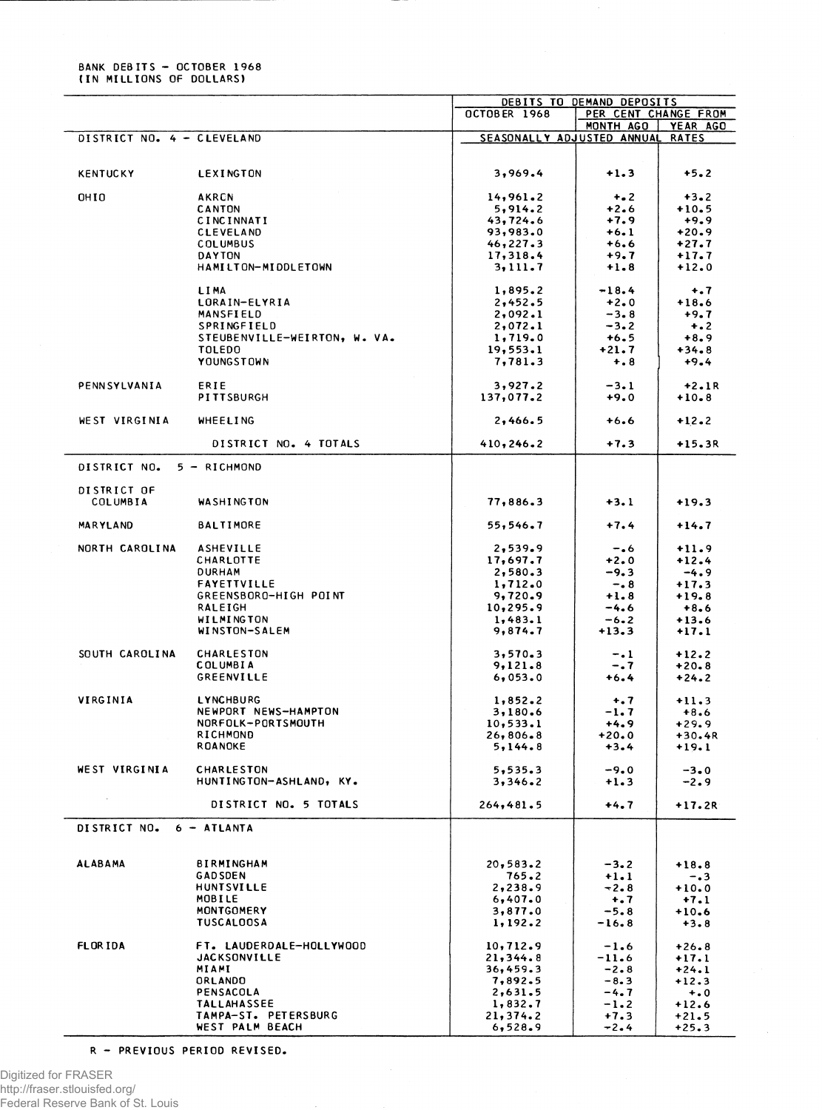## **BANK DEBITS - OCTOBER 1968 (IN MILLIONS OF DOLLARS)**

|                            |                              | DEBITS TO DEMAND DEPOSITS  |                      |              |  |
|----------------------------|------------------------------|----------------------------|----------------------|--------------|--|
|                            |                              | OCTOBER 1968               | PER CENT CHANGE FROM |              |  |
|                            |                              |                            | MONTH AGO            | YEAR AGO     |  |
| DISTRICT NO. 4 - CLEVELAND |                              | SEASONALLY ADJUSTED ANNUAL |                      | <b>RATES</b> |  |
|                            |                              |                            |                      |              |  |
|                            |                              |                            |                      |              |  |
| <b>KENTUCKY</b>            | LEXINGTON                    | 3,969.4                    | $+1.3$               | $+5.2$       |  |
|                            |                              |                            |                      |              |  |
| OHIO                       | <b>AKRCN</b>                 | 14,961.2                   | $+ 2$                | $+3.2$       |  |
|                            | <b>CANTON</b>                | 5,914.2                    | $+2.6$               | $+10.5$      |  |
|                            | CINCINNATI                   | 43,724.6                   | $+7.9$               | $+9.9$       |  |
|                            | <b>CLEVELAND</b>             | 93,983.0                   | $+6.1$               | $+20.9$      |  |
|                            | COLUMBUS                     | 46,227.3                   | $+6.6$               | +27.7        |  |
|                            | <b>DAYTON</b>                | 17,318.4                   | $+9.7$               | $+17.7$      |  |
|                            | HAMILTON-MIDDLETOWN          | 3,111.7                    | $+1.8$               | $+12.0$      |  |
|                            |                              |                            |                      |              |  |
|                            | LIMA                         | 1,895.2                    | $-18.4$              | $+ .7$       |  |
|                            | LORAIN-ELYRIA                | 2,452.5                    | $+2.0$               | $+18.6$      |  |
|                            | MANSFIELD                    | 2,092.1                    | $-3.8$               | $+9.7$       |  |
|                            | SPRINGFIELD                  | 2,072.1                    | $-3.2$               | $+ 0.2$      |  |
|                            | STEUBENVILLE-WEIRTON, W. VA. | 1,719.0                    | $+6.5$               | $+8.9$       |  |
|                            | <b>TOLEDO</b>                | 19,553.1                   | $+21.7$              | $+34.8$      |  |
|                            | YOUNGSTOWN                   | 7,781.3                    | $+ 8 8$              | $+9.4$       |  |
|                            |                              |                            |                      |              |  |
| PENNSYLVANIA               | ERIE                         | 3,927.2                    | $-3.1$               | $+2.1R$      |  |
|                            | PITTSBURGH                   | 137,077.2                  | $+9.0$               | $+10.8$      |  |
|                            |                              |                            |                      |              |  |
| WEST VIRGINIA              | <b>WHEELING</b>              | 2,466.5                    | +6.6                 | $+12.2$      |  |
|                            | DISTRICT NO. 4 TOTALS        | 410, 246.2                 | $+7.3$               | +15.3R       |  |
| DISTRICT NO.               | 5 - RICHMOND                 |                            |                      |              |  |
| DISTRICT OF                |                              |                            |                      |              |  |
| COLUMBIA                   | WASHINGTON                   | 77,886.3                   | $+3.1$               | $+19.3$      |  |
|                            |                              |                            |                      |              |  |
| <b>MARYLAND</b>            | <b>BALTIMORE</b>             | 55,546.7                   | $+7.4$               | $+14.7$      |  |
|                            |                              |                            |                      |              |  |
| NORTH CAROLINA             | <b>ASHEVILLE</b>             | 2,539.9                    | $-0.6$               | $+11.9$      |  |
|                            | CHARLOTTE                    | 17,697.7                   | $+2.0$               | $+12.4$      |  |
|                            | <b>DURHAM</b>                | 2,580.3                    | $-9.3$               | $-4.9$       |  |
|                            | <b>FAYETTVILLE</b>           | 1,712.0                    | $-0.8$               | $+17.3$      |  |
|                            | GREENSBORO-HIGH POINT        | 9,720.9                    | $+1.8$               | $+19.8$      |  |
|                            | RALEIGH                      | 10,295.9                   | -4.6                 | $+8.6$       |  |
|                            | WILMINGTON                   | 1,483.1                    | $-6.2$               | $+13.6$      |  |
|                            | WINSTON-SALEM                | 9,874.7                    | $+13.3$              | $+17.1$      |  |
|                            |                              |                            |                      |              |  |
| SOUTH CAROLINA             | <b>CHARLESTON</b>            | 3,570.3                    | $-1$                 | $+12.2$      |  |
|                            | <b>COLUMBIA</b>              | 9,121.8                    | -. 7                 | $+20.8$      |  |
|                            | GREENVILLE                   | 6,053.0                    | $+6.4$               | $+24.2$      |  |
|                            |                              |                            |                      |              |  |
| VIRGINIA                   | LYNCHBURG                    | 1,852.2                    | $+$ .7               | $+11.3$      |  |
|                            | NEWPORT NEWS-HAMPTON         | 3,180.6                    | $-1.7$               | $+8.6$       |  |
|                            | NORFOLK-PORTSMOUTH           | 10, 533.1                  | $+4.9$               | $+29.9$      |  |
|                            | RICHMOND                     | 26,806.8                   | $+20.0$              | +30.4R       |  |
|                            | <b>ROANOKE</b>               | 5,144.8                    | $+3.4$               | +19.1        |  |
|                            |                              |                            |                      |              |  |
| WEST VIRGINIA              | <b>CHARLESTON</b>            | 5, 535.3                   | $-9.0$               | $-3.0$       |  |
|                            | HUNTINGTON-ASHLAND, KY.      | 3,346.2                    | $+1.3$               | $-2.9$       |  |
|                            |                              |                            |                      |              |  |
|                            | DISTRICT NO. 5 TOTALS        | 264, 481.5                 | $+4.7$               | $+17.2R$     |  |
| DISTRICT NO.               | $6 - ATLANTA$                |                            |                      |              |  |
|                            |                              |                            |                      |              |  |
|                            |                              |                            |                      |              |  |
| <b>ALABAMA</b>             | <b>BIRMINGHAM</b>            | 20, 583.2                  | $-3.2$               | $+18.8$      |  |
|                            | <b>GADSDEN</b>               | 765.2                      | $+1.1$               | $-0.3$       |  |
|                            | <b>HUNTSVILLE</b>            | 2,238.9                    | $-2.8$               | $+10.0$      |  |
|                            | MOBILE                       | 6,407.0                    | $+$ .7               | $+7.1$       |  |
|                            | <b>MONTGOMERY</b>            | 3,877.0                    | $-5.8$               | $+10.6$      |  |
|                            | <b>TUSCALOOSA</b>            | 1, 192.2                   | $-16.8$              | $+3.8$       |  |
|                            |                              |                            |                      |              |  |
| <b>FLORIDA</b>             | FT. LAUDERDALE-HOLLYWOOD     | 10, 712.9                  | $-1.6$               | $+26.8$      |  |
|                            | <b>JACKSONVILLE</b>          | 21,344.8                   | $-11.6$              | $+17.1$      |  |
|                            | MIAMI                        | 36,459.3                   | $-2.8$               | $+24.1$      |  |
|                            | ORLANDO                      | 7,892.5                    | $-8.3$               | $+12.3$      |  |
|                            | PENSACOLA                    | 2,631.5                    | $-4.7$               | $+0.0$       |  |
|                            | <b>TALLAHASSEE</b>           | 1,832.7                    | $-1.2$               | $+12.6$      |  |
|                            | TAMPA-ST. PETERSBURG         | 21,374.2                   | $+7.3$               | $+21.5$      |  |
|                            | WEST PALM BEACH              | 6,528.9                    | $-2.4$               | $+25.3$      |  |

**R - PREVIOUS PERIOD REVISED.**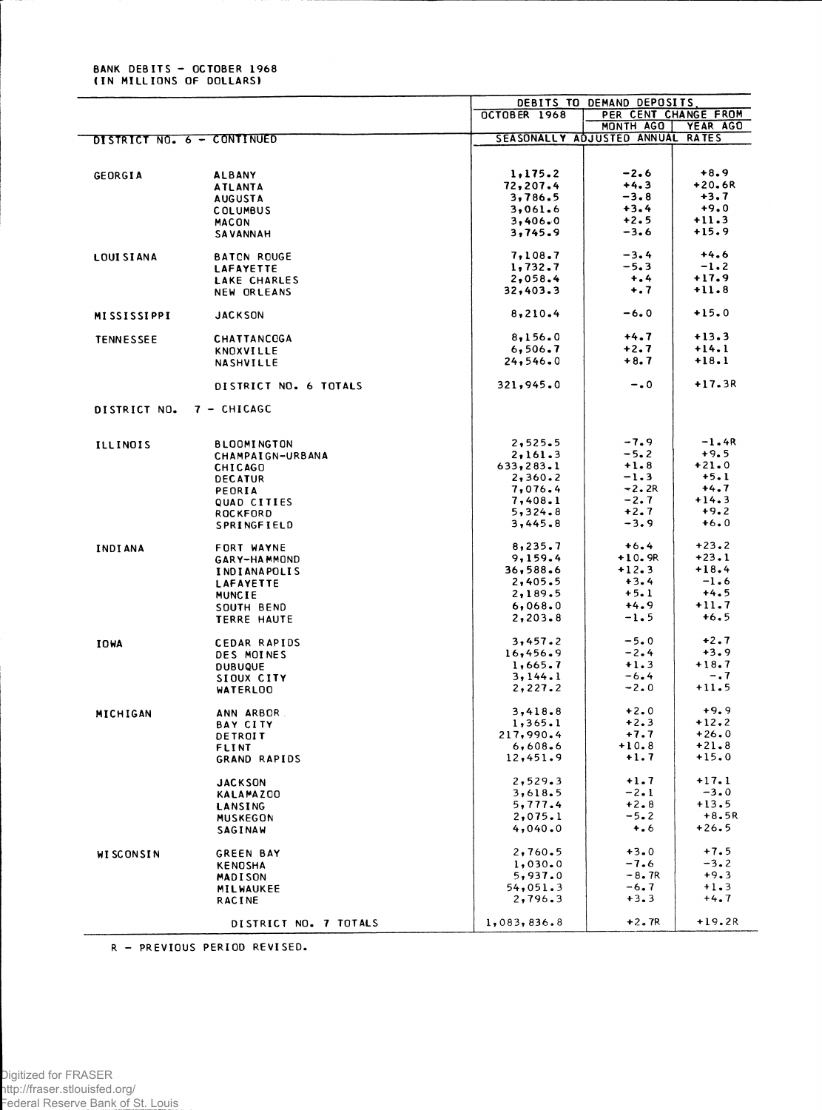## **BANK DEBITS - OCTOBER 1968<br>(IN MILLIONS OF DOLLARS)**

L.

|                            |                                   | DEBITS TO DEMAND DEPOSITS |                                  |          |
|----------------------------|-----------------------------------|---------------------------|----------------------------------|----------|
|                            |                                   | OCTOBER 1968              | PER CENT CHANGE FROM             |          |
|                            |                                   |                           | MONTH AGO                        | YEAR AGO |
| DISTRICT NO. 6 - CONTINUED |                                   |                           | SEASONALLY ADJUSTED ANNUAL RATES |          |
|                            |                                   |                           |                                  |          |
|                            |                                   |                           |                                  |          |
| GEORGIA                    | <b>ALBANY</b>                     | 1,175.2                   | $-2.6$                           | $+8.9$   |
|                            | <b>ATLANTA</b>                    | 72,207.4                  | $+4.3$                           | +20.6R   |
|                            | <b>AUGUSTA</b>                    | 3,786.5                   | $-3.8$                           | $+3.7$   |
|                            | COLUMBUS                          | 3,061.6                   | $+3.4$                           | $+9.0$   |
|                            | <b>MACON</b>                      | 3,406.0                   | $+2.5$                           | $+11.3$  |
|                            | <b>SAVANNAH</b>                   | 3,745.9                   | $-3.6$                           | $+15.9$  |
|                            |                                   |                           |                                  |          |
| <b>LOUISIANA</b>           | <b>BATCN ROUGE</b>                | 7,108.7                   | $-3.4$                           | $+4.6$   |
|                            | <b>LAFAYETTE</b>                  | 1,732.7                   | $-5.3$                           | $-1.2$   |
|                            |                                   | 2,058.4                   | $+ 0.4$                          | $+17.9$  |
|                            | LAKE CHARLES                      |                           |                                  | $+11.8$  |
|                            | NEW ORLEANS                       | 32,403.3                  | $+$ .7                           |          |
|                            |                                   |                           |                                  | $+15.0$  |
| <b>MISSISSIPPI</b>         | <b>JACKSON</b>                    | 8,210.4                   | $-6.0$                           |          |
| <b>TENNESSEE</b>           | <b>CHATTANCOGA</b>                | 8,156.0                   | $+4.7$                           | $+13.3$  |
|                            | KNOXVILLE                         | 6,506.7                   | $+2.7$                           | $+14.1$  |
|                            |                                   | 24, 546.0                 | $+8.7$                           | $+18.1$  |
|                            | <b>NASHVILLE</b>                  |                           |                                  |          |
|                            | DISTRICT NO. 6 TOTALS             | 321,945.0                 | $-0$                             | $+17.3R$ |
|                            |                                   |                           |                                  |          |
| DISTRICT NO.               | $7 - CHICAGE$                     |                           |                                  |          |
|                            |                                   |                           |                                  |          |
| <b>ILLINOIS</b>            | <b>BLOOMINGTON</b>                | 2,525.5                   | $-7.9$                           | $-1.4R$  |
|                            | CHAMPAIGN-URBANA                  | 2,161.3                   | $-5.2$                           | $+9.5$   |
|                            | <b>CHICAGO</b>                    | 633, 283.1                | $+1.8$                           | $+21.0$  |
|                            | <b>DECATUR</b>                    | 2,360.2                   | $-1.3$                           | $+5.1$   |
|                            | PEORIA                            | 7,076.4                   | $-2.2R$                          | $+4.7$   |
|                            |                                   | 7,408.1                   | $-2.7$                           | $+14.3$  |
|                            | QUAD CITIES                       | 5,324.8                   | $+2.7$                           | $+9.2$   |
|                            | <b>ROCKFORD</b><br>SPRINGFIELD    | 3,445.8                   | $-3.9$                           | $+6.0$   |
|                            |                                   |                           |                                  |          |
| <b>INDIANA</b>             | FORT WAYNE                        | 8,235.7                   | $+6.4$                           | $+23.2$  |
|                            | GARY-HAMMOND                      | 9,159.4                   | $+10.9R$                         | $+23.1$  |
|                            | <b>INDIANAPOLIS</b>               | 36,588.6                  | $+12.3$                          | $+18.4$  |
|                            | LAFAYETTE                         | 2,405.5                   | $+3.4$                           | $-1.6$   |
|                            |                                   | 2,189.5                   | $+5.1$                           | $+4.5$   |
|                            | MUNCIE                            |                           |                                  |          |
|                            | SOUTH BEND                        | 6,068.0                   | $+4.9$                           | $+11.7$  |
|                            | TERRE HAUTE                       | 2, 203.8                  | $-1.5$                           | $+6.5$   |
|                            | CEDAR RAPIDS                      | 3,457.2                   | $-5.0$                           | $+2.7$   |
| <b>IOWA</b>                |                                   | 16,456.9                  | $-2.4$                           | $+3.9$   |
|                            | DES MOINES                        |                           |                                  | $+18.7$  |
|                            | <b>DUBUQUE</b>                    | 1,665.7                   | $+1.3$                           |          |
|                            | SIOUX CITY                        | 3,144.1                   | $-6.4$                           | $-.7$    |
|                            | <b>WATERLOO</b>                   | 2, 227.2                  | $-2.0$                           | $+11.5$  |
|                            |                                   | 3,418.8                   | $+2.0$                           | $+9.9$   |
| MICHIGAN                   | ANN ARBOR.                        | 1,365.1                   | $+2.3$                           | $+12.2$  |
|                            | <b>BAY CITY</b>                   |                           |                                  | $+26.0$  |
|                            | DETROIT                           | 217,990.4                 | $+7.7$                           |          |
|                            | <b>FLINT</b>                      | 6,608.6                   | $+10.8$                          | $+21.8$  |
|                            | GRAND RAPIDS                      | 12,451.9                  | $+1.7$                           | $+15.0$  |
|                            | <b>JACKSON</b>                    | 2,529.3                   | $+1.7$                           | $+17.1$  |
|                            | <b>KALAMAZOO</b>                  | 3,618.5                   | $-2.1$                           | $-3.0$   |
|                            |                                   | 5,777.4                   | $+2.8$                           | $+13.5$  |
|                            | LANSING                           |                           |                                  | $+8.5R$  |
|                            | <b>MUSKEGON</b><br><b>SAGINAW</b> | 2,075.1<br>4,040.0        | $-5.2$<br>$+ 0.6$                | $+26.5$  |
|                            |                                   |                           |                                  |          |
| <b>WISCONSIN</b>           | <b>GREEN BAY</b>                  | 2,760.5                   | $+3.0$                           | $+7.5$   |
|                            | <b>KENOSHA</b>                    | 1,030.0                   | $-7.6$                           | $-3.2$   |
|                            | <b>MADISON</b>                    | 5,937.0                   | $-8.7R$                          | $+9.3$   |
|                            | MILWAUKEE                         | 54,051.3                  | $-6.7$                           | $+1.3$   |
|                            | <b>RACINE</b>                     | 2,796.3                   | $+3.3$                           | $+4.7$   |
|                            |                                   |                           |                                  |          |
|                            | DISTRICT NO. 7 TOTALS             | 1,083,836.8               | $+2.7R$                          | $+19.2R$ |
|                            |                                   |                           |                                  |          |

R - PREVIOUS PERIOD REVISED.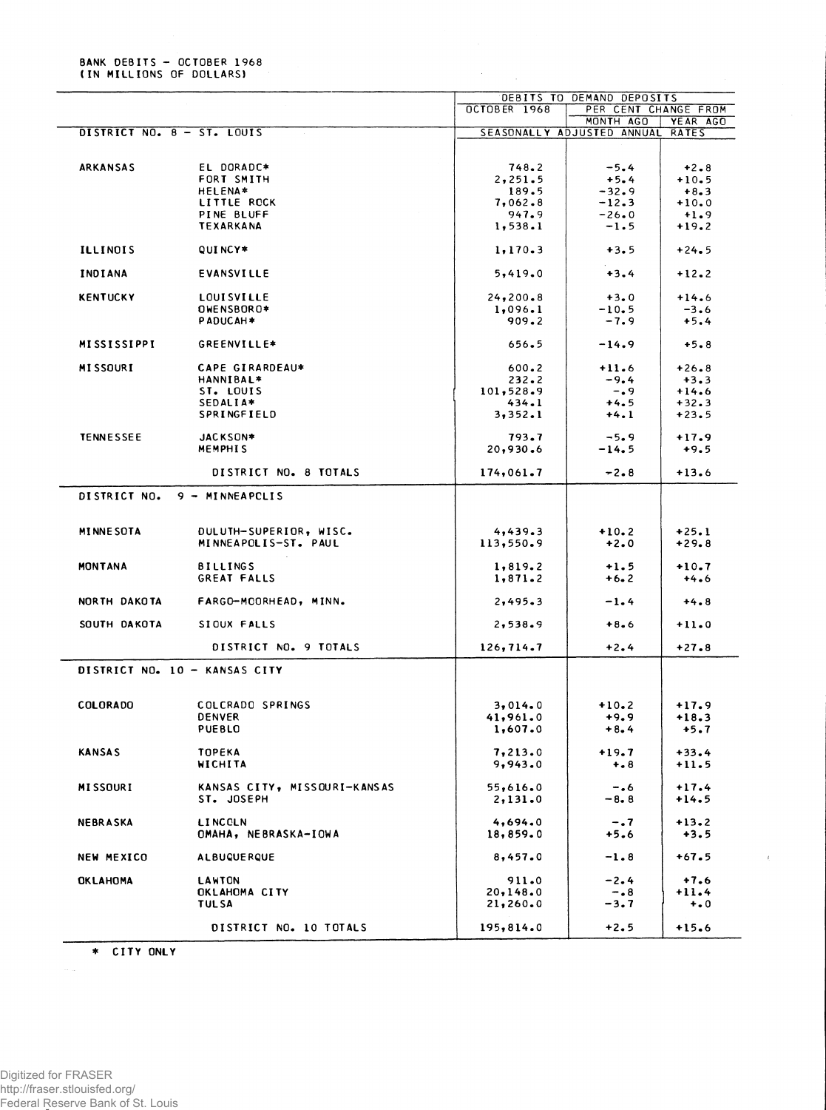**BANK DEBITS - OCTOBER 1968**<br>(IN MILLIONS OF DOLLARS)

|                            |                                                |                      | DEBITS TO DEMAND DEPOSITS         |                    |
|----------------------------|------------------------------------------------|----------------------|-----------------------------------|--------------------|
|                            |                                                | OCTOBER 1968         | PER CENT CHANGE FROM<br>MONTH AGO | YEAR AGO           |
| DISTRICT NO. 8 - ST. LOUIS |                                                |                      | SEASONALLY ADJUSTED ANNUAL        | <b>RATES</b>       |
|                            |                                                |                      |                                   |                    |
| ARKANSAS                   | EL DORADC*                                     | 748.2                | $-5.4$                            |                    |
|                            | FORT SMITH                                     |                      |                                   | $+2.8$             |
|                            |                                                | 2,251.5              | $+5.4$                            | $+10.5$            |
|                            | <b>HELENA*</b>                                 | 189.5                | $-32.9$                           | $+8.3$             |
|                            | LITTLE ROCK                                    | 7,062.8              | $-12.3$                           | $+10.0$            |
|                            | PINE BLUFF                                     | 947.9                | $-26.0$                           | $+1.9$             |
|                            | <b>TEXARKANA</b>                               | 1,538.1              | $-1.5$                            | $+19.2$            |
| <b>ILLINOIS</b>            | QUI NCY*                                       | 1, 170.3             | $+3.5$                            | $+24.5$            |
| INDIANA                    | <b>EVANSVILLE</b>                              | 5,419.0              | $+3.4$                            | $+12.2$            |
| <b>KENTUCKY</b>            | <b>LOUISVILLE</b>                              | 24, 200.8            | $+3.0$                            | $+14.6$            |
|                            | OWENSBOR0*                                     | 1,096.1              | $-10.5$                           | $-3.6$             |
|                            | PADUCAH*                                       | 909.2                | $-7.9$                            | $+5.4$             |
| <b>MISSISSIPPI</b>         | GREENVILLE*                                    | 656.5                | $-14.9$                           | $+5.8$             |
|                            |                                                |                      |                                   |                    |
| <b>MISSOURI</b>            | CAPE GIRARDEAU*                                | $600 - 2$            | $+11.6$                           | $+26.8$            |
|                            | HANNIBAL*                                      | 232.2                | $-9.4$                            | $+3.3$             |
|                            | ST. LOUIS                                      | 101,528.9            | $-0.9$                            | $+14.6$            |
|                            | SEDALIA*                                       | 434.1                | $+4.5$                            | $+32.3$            |
|                            | SPRINGFIELD                                    | 3,352.1              | $+4.1$                            | $+23.5$            |
| <b>TENNESSEE</b>           | JACKSON*                                       | 793.7                | $-5.9$                            | $+17.9$            |
|                            | <b>MEMPHIS</b>                                 | 20,930.6             | $-14.5$                           | $+9.5$             |
|                            | DISTRICT NO. 8 TOTALS                          | 174,061.7            | $-2.8$                            | $+13.6$            |
| DISTRICT NO.               | 9 - MINNEAPCLIS                                |                      |                                   |                    |
| <b>MINNE SOTA</b>          |                                                |                      |                                   |                    |
|                            | DULUTH-SUPERIOR, WISC.<br>MINNEAPOLIS-ST. PAUL | 4,439.3<br>113,550.9 | $+10.2$<br>$+2.0$                 | $+25.1$<br>$+29.8$ |
| <b>MONTANA</b>             | <b>BILLINGS</b>                                | 1,819.2              | $+1.5$                            | $+10.7$            |
|                            | GREAT FALLS                                    | 1,871.2              | $+6.2$                            | $+4.6$             |
| NORTH DAKOTA               | FARGO-MCORHEAD, MINN.                          | 2,495.3              | $-1.4$                            | $+4.8$             |
| SOUTH DAKOTA               | SIOUX FALLS                                    | 2,538.9              | $+8.6$                            | $+11.0$            |
|                            |                                                |                      |                                   |                    |
|                            | DISTRICT NO. 9 TOTALS                          | 126, 714.7           | $+2.4$                            | $+27.8$            |
|                            | DISTRICT NO. 10 - KANSAS CITY                  |                      |                                   |                    |
| <b>COLORADO</b>            | COLCRADO SPRINGS                               | 3,014.0              | $+10.2$                           | $+17.9$            |
|                            | <b>DENVER</b>                                  | 41,961.0             | $+9.9$                            | $+18.3$            |
|                            | <b>PUEBLO</b>                                  | 1,607.0              | $+8.4$                            | $+5.7$             |
|                            |                                                |                      |                                   |                    |
| <b>KANSAS</b>              | <b>TOPEKA</b><br>WICHITA                       | 7,213.0<br>9,943.0   | $+19.7$<br>$+ 8$                  | $+33.4$<br>$+11.5$ |
| <b>MISSOURI</b>            | KANSAS CITY, MISSOURI-KANSAS                   | 55,616.0             | $-0.6$                            | $+17.4$            |
|                            | ST. JOSEPH                                     | 2,131.0              | $-8.8$                            | $+14.5$            |
| <b>NEBRASKA</b>            | LINCOLN                                        | 4,694.0              | $-0.7$                            | $+13.2$            |
|                            | OMAHA, NEBRASKA-IOWA                           | 18,859.0             | $+5.6$                            | $+3.5$             |
| NEW MEXICO                 | <b>ALBUQUE RQUE</b>                            | 8,457.0              | $-1.8$                            | $+67.5$            |
|                            |                                                |                      |                                   |                    |
| <b>OKLAHOMA</b>            | <b>LAWTON</b>                                  | 911.0                | $-2.4$                            | $+7.6$             |
|                            | OKLAHOMA CITY                                  | 20,148.0             | $-0.8$                            | $+11.4$            |
|                            | <b>TULSA</b>                                   | 21,260.0             | -3.7                              | $+ 0.0$            |
|                            |                                                |                      |                                   |                    |
|                            | DISTRICT NO. 10 TOTALS                         | 195,814.0            | $+2.5$                            | $+15.6$            |

 $\ell$ 

\* CITY ONLY